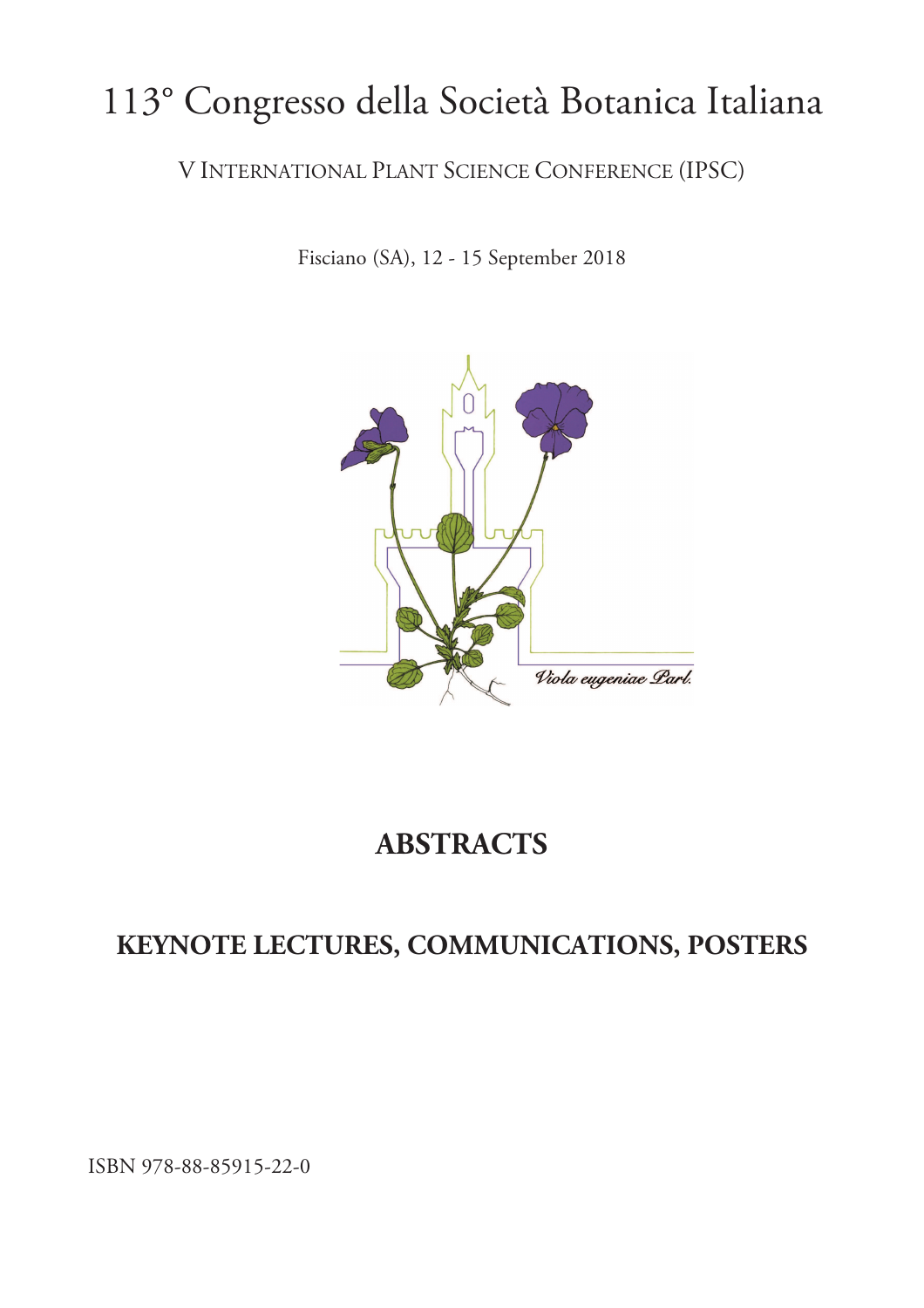## 113° Congresso della Società Botanica Italiana

V INTERNATIONAL PLANT SCIENCE CONFERENCE (IPSC)

Fisciano (SA), 12 - 15 September 2018



## **ABSTRACTS**

## **KEYNOTE LECTURES, COMMUNICATIONS, POSTERS**

ISBN 978-88-85915-22-0